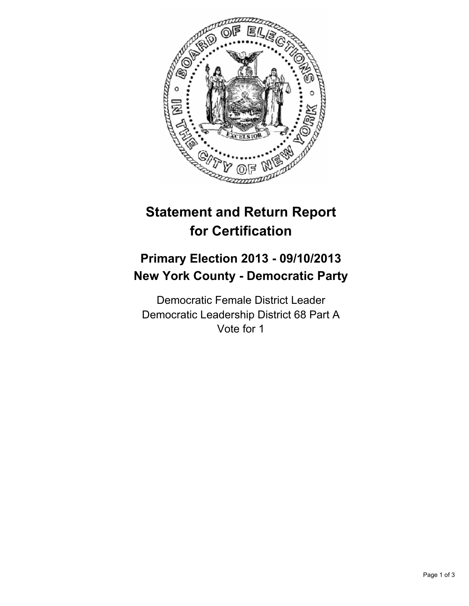

# **Statement and Return Report for Certification**

## **Primary Election 2013 - 09/10/2013 New York County - Democratic Party**

Democratic Female District Leader Democratic Leadership District 68 Part A Vote for 1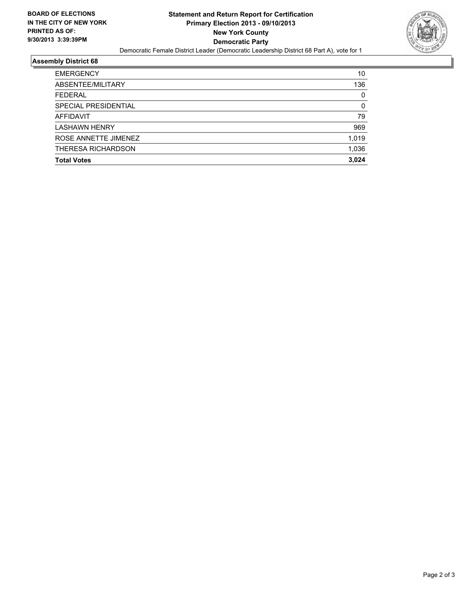

#### **Assembly District 68**

| <b>FEDERAL</b>       | 0        |
|----------------------|----------|
| SPECIAL PRESIDENTIAL | $\Omega$ |
| AFFIDAVIT            | 79       |
| <b>LASHAWN HENRY</b> | 969      |
| ROSE ANNETTE JIMENEZ | 1,019    |
| THERESA RICHARDSON   | 1,036    |
| <b>Total Votes</b>   | 3.024    |